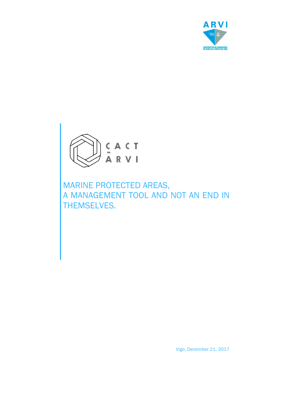



MARINE PROTECTED AREAS, A MANAGEMENT TOOL AND NOT AN END IN THEMSELVES.

Vigo, December 21, 2017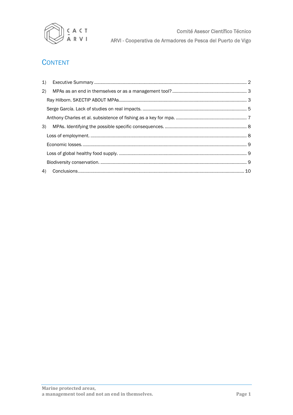

Comité Asesor Científico Técnico ARVI - Cooperativa de Armadores de Pesca del Puerto de Vigo

# **CONTENT**

| 1)  |  |
|-----|--|
| (2) |  |
|     |  |
|     |  |
|     |  |
| 3)  |  |
|     |  |
|     |  |
|     |  |
|     |  |
|     |  |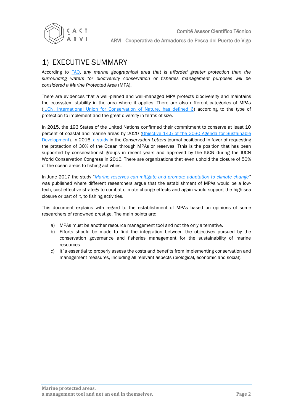

# 1) EXECUTIVE SUMMARY

According to [FAO,](http://www.fao.org/docrep/015/i2090e/i2090e00.htm) *any marine geographical area that is afforded greater protection than the surrounding waters for biodiversity conservation or fisheries management purposes will be considered a Marine Protected Area* (MPA).

There are evidences that a well-planed and well-managed MPA protects biodiversity and maintains the ecosystem stability in the area where it applies. There are also different categories of MPAs [\(IUCN, International Union for Conservation of Nature,](https://www.iucn.org/es/regiones/am%C3%A9rica-del-sur/nuestro-trabajo/%C3%A1reas-protegidas/categor%C3%ADas-de-manejo-de-%C3%A1reas-protegidas-de-uicn) has defined 6) according to the type of protection to implement and the great diversity in terms of size.

In 2015, the 193 States of the United Nations confirmed their commitment to conserve at least 10 percent of coastal and marine areas by 2020 (Objective 14.5 of the 2030 Agenda for Sustainable [Development\)](http://www.un.org/ga/search/view_doc.asp?symbol=A/RES/70/1&referer=http://www.un.org/sustainabledevelopment/development-agenda/&Lang=S). In 2016, a [study](http://onlinelibrary.wiley.com/doi/10.1111/conl.12247/abstract) in the *Conservation Letters* journal positioned in favor of requesting the protection of 30% of the Ocean through MPAs or reserves. Tthis is the position that has been supported by conservationist groups in recent years and approved by the IUCN during the IUCN World Conservation Congress in 2016. There are organizations that even uphold the closure of 50% of the ocean areas to fishing activities.

In June 2017 the study "*[Marine reserves can mitigate and promote adaptation to climate change](http://www.pnas.org/content/114/24/6167.abstract)*" was published where different researchers argue that the establishment of MPAs would be a lowtech, cost-effective strategy to combat climate change effects and again would support the high-sea closure or part of it, to fishing activities.

This document explains with regard to the establishment of MPAs based on opinions of some researchers of renowned prestige. The main points are:

- a) MPAs must be another resource management tool and not the only alternative.
- b) Efforts should be made to find the integration between the objectives pursued by the conservation governance and fisheries management for the sustainability of marine resources.
- c) It 's essential to properly assess the costs and benefits from implementing conservation and management measures, including all relevant aspects (biological, economic and social).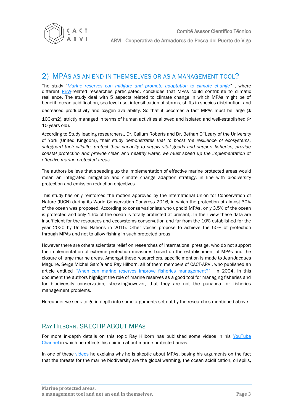

### <span id="page-3-0"></span>2) MPAS AS AN END IN THEMSELVES OR AS A MANAGEMENT TOOL?

The study "*[Marine reserves can mitigate and promote adaptation to climate change](http://www.pnas.org/content/114/24/6167.abstract)*" , where different [PEW-](http://www.pewtrusts.org/en)related researches participated, concludes that MPAs could contribute to climatic resilience. The study deal with 5 aspects related to climate change in which MPAs might be of benefit: ocean acidification, sea-level rise, intensification of storms, shifts in species distribution, and

decreased productivity and oxygen availability. So that it becomes a fact MPAs must be large (≥

100km2), strictly managed in terms of human activities allowed and isolated and well-established (≥ 10 years old).

According to Study leading researchers,, Dr. Callum Roberts and Dr. Bethan O´Leary of the University of York (United Kingdom), their study *demonstrates that to boost the resilience of ecosystems, safeguard their wildlife, protect their capacity to supply vital goods and support fisheries, provide coastal protection and provide clean and healthy water, we must speed up the implementation of effective marine protected areas.*

The authors believe that speeding up the implementation of effective marine protected areas would mean an integrated mitigation and climate change adaption strategy, in line with biodiversity protection and emission reduction objectives.

This study has only reinforced the motion approved by the International Union for Conservation of Nature (IUCN) during its World Conservation Congress 2016, in which the protection of almost 30% of the ocean was proposed. According to conservationists who uphold MPAs, only 3.5% of the ocean is protected and only 1.6% of the ocean is totally protected at present,. In their view these data are insufficient for the resources and ecosystems conservation and far from the 10% established for the year 2020 by United Nations in 2015. Other voices propose to achieve the 50% of protection through MPAs and not to allow fishing in such protected areas.

However there are others scientists relief on researches of international prestige, who do not support the implementation of extreme protection measures based on the establishment of MPAs and the closure of large marine areas. Amongst these researchers, specific mention is made to Jean-Jacques Maguire, Serge Michel García and Ray Hilborn, all of them members of CACT-ARVI, who published an article entitled "[When can marine reserves improve fisheries management?](http://www.sciencedirect.com/science/article/pii/S0964569104000250?via%3Dihub)" in 2004. In this document the authors highlight the role of marine reserves as a good tool for managing fisheries and for biodiversity conservation, stressinghowever, that they are not the panacea for fisheries management problems.

Hereunder we seek to go in depth into some arguments set out by the researches mentioned above.

### <span id="page-3-1"></span>RAY HILBORN. SKECTIP ABOUT MPAS

For more in-depth details on this topic Ray Hilborn has published some videos in his [YouTube](https://www.youtube.com/channel/UCn28M7pnCg3a6GdYT2s7Jxw) Channel in which he reflects his opinion about marine protected areas.

In one of these [videos](https://www.youtube.com/watch?v=Rm0SyJrita0&feature=youtu.be) he explains why he is skeptic about MPAs, basing his arguments on the fact that the threats for the marine biodiversity are the global warming, the ocean acidification, oil spills,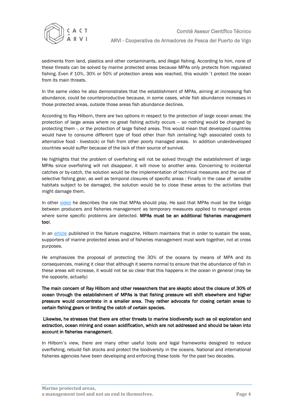

sediments from land, plastics and other contaminants, and illegal fishing. According to him, none of these threats can be solved by marine protected areas because MPAs only protects from regulated fishing. Even if 10%, 30% or 50% of protection areas was reached, this wouldn´t protect the ocean from its main threats.

In the same video he also demonstrates that the establishment of MPAs, aiming at increasing fish abundance, could be counterproductive because, in some cases, while fish abundance increases in those protected areas, outside those areas fish abundance declines.

According to Ray Hilborn, there are two options in respect to the protection of large ocean areas: the protection of large areas where no great fishing activity occurs – so nothing would be changed by protecting them -, or the protection of large fished areas. This would mean that developed countries would have to consume different type of food other than fish (entailing high associated costs to alternative food - livestock) or fish from other poorly managed areas. In addition underdeveloped countries would suffer because of the lack of their source of survival.

He highlights that the problem of overfishing will not be solved through the establishment of large MPAs since overfishing will not disappear, it will move to another area. Concerning to incidental catches or by-catch, the solution would be the implementation of technical measures and the use of selective fishing gear, as well as temporal closures of specific areas : Finally in the case of sensible habitats subject to be damaged, the solution would be to close these areas to the activities that might damage them.

In other [video](https://www.youtube.com/watch?v=jjDKhtU_nDE) he describes the role that MPAs should play. He said that MPAs must be the bridge between producers and fisheries management as temporary measures applied to managed areas where some specific problems are detected. MPAs must be an additional fisheries management tool.

In an [article](http://www.nature.com/news/policy-marine-biodiversity-needs-more-than-protection-1.20229) published in the Nature magazine, Hilborn maintains that in order to sustain the seas, supporters of marine protected areas and of fisheries management must work together, not at cross purposes.

He emphasizes the proposal of protecting the 30% of the oceans by means of MPA and its consequences, making it clear that although it seems normal to ensure that the abundance of fish in these areas will increase, it would not be so clear that this happens in the ocean in general (may be the opposite, actually)

The main concern of Ray Hilborn and other researchers that are skeptic about the closure of 30% of ocean through the establishment of MPAs is that fishing pressure will shift elsewhere and higher pressure would concentrate in a smaller area. They rather advocate for closing certain areas to certain fishing gears or limiting the catch of certain species.

Likewise, he stresses that there are other threats to marine biodiversity such as oil exploration and extraction, ocean mining and ocean acidification, which are not addressed and should be taken into account in fisheries management.

In Hilborn's view, there are many other useful tools and legal frameworks designed to reduce overfishing, rebuild fish stocks and protect the biodiversity in the oceans. National and international fisheries agencies have been developing and enforcing these tools for the past two decades.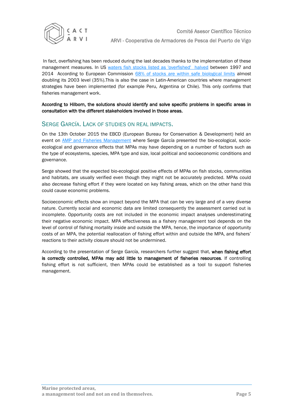

In fact, overfishing has been reduced during the last decades thanks to the implementation of these management measures. In US [waters fish stocks listed as 'overfished' halved](http://www.nmfs.noaa.gov/sfa/fisheries_eco/status_of_fisheries/archive/2014/2014_status_of_stocks_final_web.pdf) between 1997 and 2014 According to European Commission 68% of stocks are [within safe biological limits](http://eur-lex.europa.eu/legal-content/EN/TXT/HTML/?uri=CELEX:52017SC0256&from=EN) almost doubling its 2003 level (35%).This is also the case in Latin-American countries where management strategies have been implemented (for example Peru, Argentina or Chile). This only confirms that fisheries management work.

According to Hilborn, the solutions should identify and solve specific problems in specific areas in consultation with the different stakeholders involved in those areas.

### <span id="page-5-0"></span>SERGE GARCÍA. LACK OF STUDIES ON REAL IMPACTS.

On the 13th October 2015 the EBCD (European Bureau for Conservation & Development) held an event on [AMP and Fisheries Management](http://ebcd.org/event/marine-protected-areas-2/) where Serge García presented the bio-ecological, socioecological and governance effects that MPAs may have depending on a number of factors such as the type of ecosystems, species, MPA type and size, local political and socioeconomic conditions and governance.

Serge showed that the expected bio-ecological positive effects of MPAs on fish stocks, communities and habitats, are usually verified even though they might not be accurately predicted. MPAs could also decrease fishing effort if they were located on key fishing areas, which on the other hand this could cause economic problems.

Socioeconomic effects show an impact beyond the MPA that can be very large and of a very diverse nature. Currently social and economic data are limited consequently the assessment carried out is incomplete. Opportunity costs are not included in the economic impact analyses underestimating their negative economic impact. MPA effectiveness as a fishery management tool depends on the level of control of fishing mortality inside and outside the MPA, hence, the importance of opportunity costs of an MPA, the potential reallocation of fishing effort within and outside the MPA, and fishers' reactions to their activity closure should not be undermined.

According to the presentation of Serge García, researchers further suggest that, when fishing effort is correctly controlled, MPAs may add little to management of fisheries resources. If controlling fishing effort is not sufficient, then MPAs could be established as a tool to support fisheries management.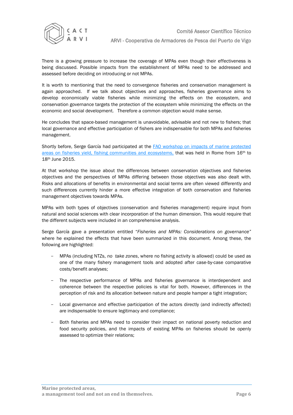

There is a growing pressure to increase the coverage of MPAs even though their effectiveness is being discussed. Possible impacts from the establishment of MPAs need to be addressed and assessed before deciding on introducing or not MPAs.

It is worth to mentioning that the need to convergence fisheries and conservation management is again approached. If we talk about objectives and approaches, fisheries governance aims to develop economically viable fisheries while minimizing the effects on the ecosystem, and conservation governance targets the protection of the ecosystem while minimizing the effects on the economic and social development. Therefore a common objection would make sense.

He concludes that space-based management is unavoidable, advisable and not new to fishers; that local governance and effective participation of fishers are indispensable for both MPAs and fisheries management.

Shortly before, Serge García had participated at the FAO workshop on impacts of marine protected areas on fisheries yield, fishing communities and ecosystems, that was held in Rome from 16th to 18th June 2015.

At that workshop the issue about the differences between conservation objectives and fisheries objectives and the perspectives of MPAs differing between those objectives was also dealt with. Risks and allocations of benefits in environmental and social terms are often viewed differently and such differences currently hinder a more effective integration of both conservation and fisheries management objectives towards MPAs.

MPAs with both types of objectives (conservation and fisheries management) require input from natural and social sciences with clear incorporation of the human dimension. This would require that the different subjects were included in an comprehensive analysis.

Serge García gave a presentation entitled "*Fisheries and MPAs: Considerations on governance"* where he explained the effects that have been summarized in this document. Among these, the following are highlighted:

- MPAs (including NTZs, *no take zones*, where no fishing activity is allowed) could be used as one of the many fishery management tools and adopted after case-by-case comparative costs/benefit analyses;
- The respective performance of MPAs and fisheries governance is interdependent and coherence between the respective policies is vital for both. However, differences in the perception of risk and its allocation between nature and people hamper a tight integration;
- Local governance and effective participation of the actors directly (and indirectly affected) are indispensable to ensure legitimacy and compliance;
- Both fisheries and MPAs need to consider their impact on national poverty reduction and food security policies, and the impacts of existing MPAs on fisheries should be openly assessed to optimize their relations;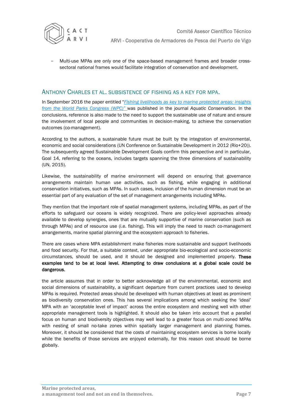

- Multi-use MPAs are only one of the space-based management frames and broader crosssectoral national frames would facilitate integration of conservation and development.

#### <span id="page-7-0"></span>ANTHONY CHARLES ET AL. SUBSISTENCE OF FISHING AS A KEY FOR MPA.

In September 2016 the paper entitled "*[Fishing livelihoods as key to marine protected areas: insights](http://onlinelibrary.wiley.com/doi/10.1002/aqc.2648/full)  [from the World Parks Congress \(WPC\)](http://onlinelibrary.wiley.com/doi/10.1002/aqc.2648/full)"* was published in the journal *Aquatic Conservation.* In the conclusions, reference is also made to the need to support the sustainable use of nature and ensure the involvement of local people and communities in decision-making, to achieve the conservation outcomes (co-management).

According to the authors, a sustainable future must be built by the integration of environmental, economic and social considerations (UN Conference on Sustainable Development in 2012 (Rio+20)). The subsequently agreed Sustainable Development Goals confirm this perspective and in particular, Goal 14, referring to the oceans, includes targets spanning the three dimensions of sustainability (UN, 2015).

Likewise, the sustainability of marine environment will depend on ensuring that governance arrangements maintain human use activities, such as fishing, while engaging in additional conservation initiatives, such as MPAs. In such cases, inclusion of the human dimension must be an essential part of any evaluation of the set of management arrangements including MPAs.

They mention that the important role of spatial management systems, including MPAs, as part of the efforts to safeguard our oceans is widely recognized. There are policy-level approaches already available to develop synergies, ones that are mutually supportive of marine conservation (such as through MPAs) and of resource use (i.e. fishing). This will imply the need to reach co-management arrangements, marine spatial planning and the ecosystem approach to fisheries.

There are cases where MPA establishment make fisheries more sustainable and support livelihoods and food security. For that, a suitable context, under appropriate bio-ecological and socio-economic circumstances, should be used, and it should be designed and implemented properly. These examples tend to be at local level. Attempting to draw conclusions at a global scale could be dangerous.

the article assumes that in order to better acknowledge all of the environmental, economic and social dimensions of sustainability, a significant departure from current practices used to develop MPAs is required. Protected areas should be developed with human objectives at least as prominent as biodiversity conservation ones. This has several implications among which seeking the 'ideal' MPA with an 'acceptable level of impact' across the entire ecosystem and meshing well with other appropriate management tools is highlighted. It should also be taken into account that a parallel focus on human and biodiversity objectives may well lead to a greater focus on multi-zoned MPAs with nesting of small no-take zones within spatially larger management and planning frames. Moreover, it should be considered that the costs of maintaining ecosystem services is borne locally while the benefits of those services are enjoyed externally, for this reason cost should be borne globally.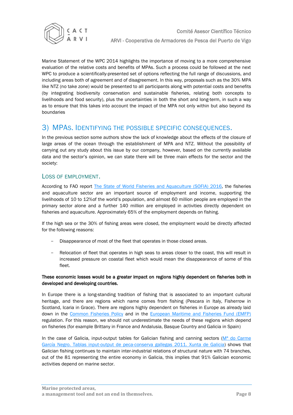

Marine Statement of the WPC 2014 highlights the importance of moving to a more comprehensive evaluation of the relative costs and benefits of MPAs. Such a process could be followed at the next WPC to produce a scientifically-presented set of options reflecting the full range of discussions, and including areas both of agreement and of disagreement. In this way, proposals such as the 30% MPA like NTZ (no take zone) would be presented to all participants along with potential costs and benefits (by integrating biodiversity conservation and sustainable fisheries, relating both concepts to livelihoods and food security), plus the uncertainties in both the short and long-term, in such a way as to ensure that this takes into account the impact of the MPA not only within but also beyond its boundaries

## <span id="page-8-0"></span>3) MPAS. IDENTIFYING THE POSSIBLE SPECIFIC CONSEQUENCES.

In the previous section some authors show the lack of knowledge about the effects of the closure of large areas of the ocean through the establishment of MPA and NTZ. Without the possibility of carrying out any study about this issue by our company, however, based on the currently available data and the sector's opinion, we can state there will be three main effects for the sector and the society:

### <span id="page-8-1"></span>LOSS OF EMPLOYMENT.

According to FAO report [The State of World Fisheries and Aquaculture \(SOFIA\) 2016,](http://www.fao.org/3/a-i5555e.pdf) the fisheries and aquaculture sector are an important source of employment and income, supporting the livelihoods of 10 to 12%of the world's population, and almost 60 million people are employed in the primary sector alone and a further 140 million are employed in activities directly dependent on fisheries and aquaculture. Approximately 65% of the employment depends on fishing.

If the high sea or the 30% of fishing areas were closed, the employment would be directly affected for the following reasons:

- Disappearance of most of the fleet that operates in those closed areas.
- Relocation of fleet that operates in high seas to areas closer to the coast, this will result in increased pressure on coastal fleet which would mean the disappearance of some of this fleet.

#### These economic losses would be a greater impact on regions highly dependent on fisheries both in developed and developing countries.

In Europe there is a long-standing tradition of fishing that is associated to an important cultural heritage, and there are regions which name comes from fishing (Pescara in Italy, Fisherrow in Scotland, Icaria in Grace). There are regions highly dependent on fisheries in Europe as already laid down in the [Common Fisheries Policy](http://eur-lex.europa.eu/legal-content/EN/TXT/PDF/?uri=CELEX:32013R1380&from=ES) and in the [European Maritime and Fisheries Fund \(EMFP\)](http://eur-lex.europa.eu/legal-content/EN/TXT/PDF/?uri=CELEX:32014R0508&from=ES) regulation. For this reason, we should not underestimate the needs of these regions which depend on fisheries (for example Brittany in France and Andalusia, Basque Country and Galicia in Spain)

In the case of Galicia, input-output tables for Galician fishing and canning sectors ( $M<sup>a</sup>$  do Carme [García Negro. Tablas input-output de peca-conserva gallegas 2011. Xunta de Galicia\)](http://www.arvi.org/publicaciones/INPUT%20OUTPUT%20TABLES.pdf) shows that Galician fishing continues to maintain inter-industrial relations of structural nature with 74 branches, out of the 81 representing the entire economy in Galicia, this implies that 91% Galician economic activities depend on marine sector.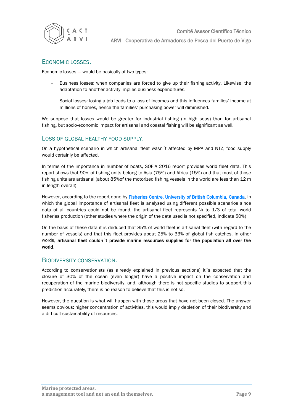

#### <span id="page-9-0"></span>ECONOMIC LOSSES.

Economic losses --- would be basically of two types:

- Business losses: when companies are forced to give up their fishing activity. Likewise, the adaptation to another activity implies business expenditures.
- Social losses: losing a job leads to a loss of incomes and this influences families' income at millions of homes, hence the families' purchasing power will diminished.

We suppose that losses would be greater for industrial fishing (in high seas) than for artisanal fishing, but socio-economic impact for artisanal and coastal fishing will be significant as well.

#### <span id="page-9-1"></span>LOSS OF GLOBAL HEALTHY FOOD SUPPLY.

On a hypothetical scenario in which artisanal fleet wasn´t affected by MPA and NTZ, food supply would certainly be affected.

In terms of the importance in number of boats, SOFIA 2016 report provides world fleet data. This report shows that 90% of fishing units belong to Asia (75%) and Africa (15%) and that most of those fishing units are artisanal (about 85%of the motorized fishing vessels in the world are less than 12 m in length overall)

However, according to the report done by **Fisheries Centre, University of British Columbia, Canada**, in which the global importance of artisanal fleet is analysed using different possible scenarios since data of all countries could not be found, the artisanal fleet represents  $\frac{1}{4}$  to  $\frac{1}{3}$  of total world fisheries production (other studies where the origin of the data used is not specified, indicate 50%)

On the basis of these data it is deduced that 85% of world fleet is artisanal fleet (with regard to the number of vessels) and that this fleet provides about 25% to 33% of global fish catches. In other words, artisanal fleet couldn´t provide marine resources supplies for the population all over the world.

#### <span id="page-9-2"></span>BIODIVERSITY CONSERVATION.

According to conservationists (as already explained in previous sections) it´s expected that the closure of 30% of the ocean (even longer) have a positive impact on the conservation and recuperation of the marine biodiversity, and, although there is not specific studies to support this prediction accurately, there is no reason to believe that this is not so.

However, the question is what will happen with those areas that have not been closed. The answer seems obvious: higher concentration of activities, this would imply depletion of their biodiversity and a difficult sustainability of resources.